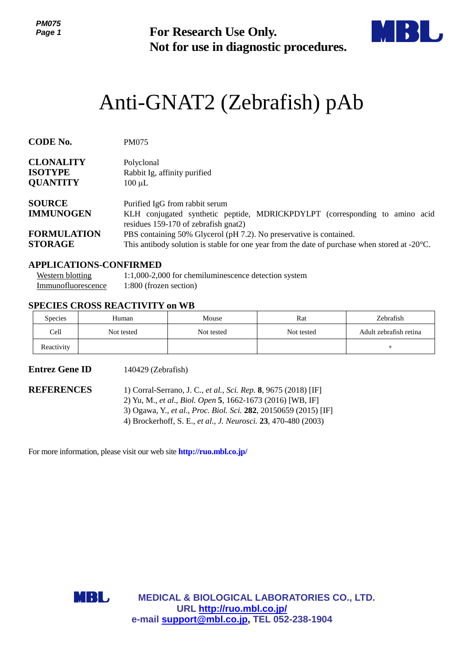*PM075 Page 1*



# Anti-GNAT2 (Zebrafish) pAb

| ט ויווי<br>Page 1                                                         |                                                                              | <b>For Research Use Only.</b><br>Not for use in diagnostic procedures.                                                                                                                                                                                                                                                                  |            |                                     |  |
|---------------------------------------------------------------------------|------------------------------------------------------------------------------|-----------------------------------------------------------------------------------------------------------------------------------------------------------------------------------------------------------------------------------------------------------------------------------------------------------------------------------------|------------|-------------------------------------|--|
|                                                                           |                                                                              | Anti-GNAT2 (Zebrafish) pAb                                                                                                                                                                                                                                                                                                              |            |                                     |  |
| CODE No.                                                                  | <b>PM075</b>                                                                 |                                                                                                                                                                                                                                                                                                                                         |            |                                     |  |
| <b>CLONALITY</b><br><b>ISOTYPE</b><br><b>QUANTITY</b>                     | Polyclonal<br>Rabbit Ig, affinity purified<br>$100 \mu L$                    |                                                                                                                                                                                                                                                                                                                                         |            |                                     |  |
| <b>SOURCE</b><br><b>IMMUNOGEN</b><br><b>FORMULATION</b><br><b>STORAGE</b> |                                                                              | Purified IgG from rabbit serum<br>KLH conjugated synthetic peptide, MDRICKPDYLPT (corresponding to amino acid<br>residues 159-170 of zebrafish gnat2)<br>PBS containing 50% Glycerol (pH 7.2). No preservative is contained.<br>This antibody solution is stable for one year from the date of purchase when stored at $-20^{\circ}$ C. |            |                                     |  |
| <b>Western blotting</b><br>Immunofluorescence                             | <b>APPLICATIONS-CONFIRMED</b><br>1:800 (frozen section)                      | 1:1,000-2,000 for chemiluminescence detection system                                                                                                                                                                                                                                                                                    |            |                                     |  |
|                                                                           | <b>SPECIES CROSS REACTIVITY on WB</b>                                        |                                                                                                                                                                                                                                                                                                                                         |            |                                     |  |
| Species                                                                   | Human                                                                        | Mouse                                                                                                                                                                                                                                                                                                                                   | Rat        | Zebrafish<br>Adult zebrafish retina |  |
| Cell<br>Reactivity                                                        | Not tested                                                                   | Not tested                                                                                                                                                                                                                                                                                                                              | Not tested | $^{+}$                              |  |
| <b>Entrez Gene ID</b>                                                     | 140429 (Zebrafish)                                                           |                                                                                                                                                                                                                                                                                                                                         |            |                                     |  |
| <b>REFERENCES</b>                                                         |                                                                              | 1) Corral-Serrano, J. C., et al., Sci. Rep. 8, 9675 (2018) [IF]<br>2) Yu, M., et al., Biol. Open 5, 1662-1673 (2016) [WB, IF]<br>3) Ogawa, Y., et al., Proc. Biol. Sci. 282, 20150659 (2015) [IF]<br>4) Brockerhoff, S. E., et al., J. Neurosci. 23, 470-480 (2003)                                                                     |            |                                     |  |
|                                                                           | For more information, please visit our web site <b>http://ruo.mbl.co.jp/</b> |                                                                                                                                                                                                                                                                                                                                         |            |                                     |  |
|                                                                           |                                                                              |                                                                                                                                                                                                                                                                                                                                         |            |                                     |  |
|                                                                           |                                                                              |                                                                                                                                                                                                                                                                                                                                         |            |                                     |  |
|                                                                           |                                                                              |                                                                                                                                                                                                                                                                                                                                         |            |                                     |  |
|                                                                           | MBL                                                                          | <b>MEDICAL &amp; BIOLOGICAL LABORATORIES CO., LTD.</b>                                                                                                                                                                                                                                                                                  |            |                                     |  |
|                                                                           |                                                                              | URL http://ruo.mbl.co.jp/<br>e-mail support@mbl.co.jp, TEL 052-238-1904                                                                                                                                                                                                                                                                 |            |                                     |  |

## **APPLICATIONS-CONFIRMED**

| Western blotting   | 1:1,000-2,000 for chemiluminescence detection system |
|--------------------|------------------------------------------------------|
| Immunofluorescence | 1:800 (frozen section)                               |

#### **SPECIES CROSS REACTIVITY on WB**

| <b>Species</b> | Human      | Mouse      | Rat        | Zebrafish              |
|----------------|------------|------------|------------|------------------------|
| Cell           | Not tested | Not tested | Not tested | Adult zebrafish retina |
| Reactivity     |            |            |            |                        |

### **Entrez Gene ID** 140429 (Zebrafish)

| REFERENCES | 1) Corral-Serrano, J. C., et al., Sci. Rep. 8, 9675 (2018) [IF]                |
|------------|--------------------------------------------------------------------------------|
|            | 2) Yu, M., et al., Biol. Open 5, 1662-1673 (2016) [WB, IF]                     |
|            | 3) Ogawa, Y., et al., Proc. Biol. Sci. 282, 20150659 (2015) [IF]               |
|            | 4) Brockerhoff, S. E., <i>et al., J. Neurosci</i> . <b>23</b> , 470-480 (2003) |

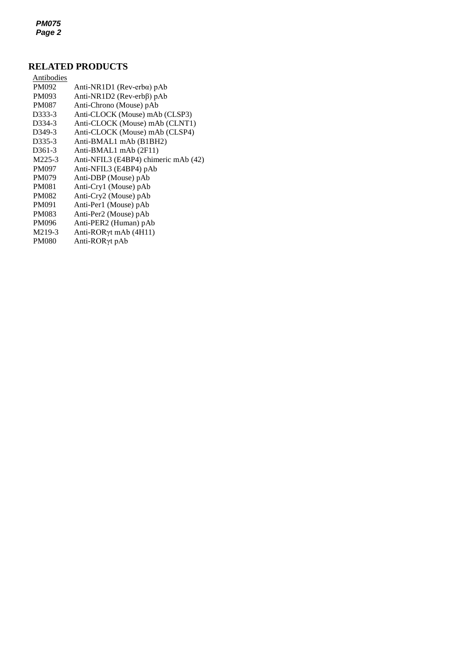*PM075 Page 2*

## **RELATED PRODUCTS**

| Antibodies          |                                      |
|---------------------|--------------------------------------|
| PM092               | Anti-NR1D1 (Rev-erba) $pAb$          |
| PM093               | Anti-NR1D2 (Rev-erbβ) pAb            |
| <b>PM087</b>        | Anti-Chrono (Mouse) pAb              |
| D333-3              | Anti-CLOCK (Mouse) mAb (CLSP3)       |
| D334-3              | Anti-CLOCK (Mouse) mAb (CLNT1)       |
| D <sub>349</sub> -3 | Anti-CLOCK (Mouse) mAb (CLSP4)       |
| D <sub>335</sub> -3 | Anti-BMAL1 mAb (B1BH2)               |
| D <sub>361</sub> -3 | Anti-BMAL1 mAb (2F11)                |
| M225-3              | Anti-NFIL3 (E4BP4) chimeric mAb (42) |
| <b>PM097</b>        | Anti-NFIL3 (E4BP4) pAb               |
| <b>PM079</b>        | Anti-DBP (Mouse) pAb                 |
| <b>PM081</b>        | Anti-Cry1 (Mouse) pAb                |
| <b>PM082</b>        | Anti-Cry2 (Mouse) pAb                |
| PM091               | Anti-Per1 (Mouse) pAb                |
| <b>PM083</b>        | Anti-Per2 (Mouse) pAb                |
| <b>PM096</b>        | Anti-PER2 (Human) pAb                |
| M219-3              | Anti-RORyt mAb (4H11)                |
| <b>PM080</b>        | Anti-RORγt pAb                       |
|                     |                                      |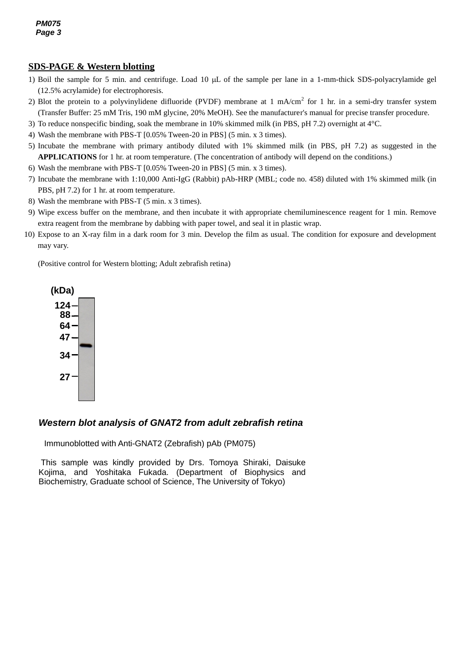## **SDS-PAGE & Western blotting**

- *2* (12.5% acrylamide) for electrophoresis. 1) Boil the sample for 5 min. and centrifuge. Load 10  $\mu$ L of the sample per lane in a 1-mm-thick SDS-polyacrylamide gel
- 2) Blot the protein to a polyvinylidene difluoride (PVDF) membrane at 1 mA/cm<sup>2</sup> for 1 hr. in a semi-dry transfer system (Transfer Buffer: 25 mM Tris, 190 mM glycine, 20% MeOH). See the manufacturer's manual for precise transfer procedure.
- 3) To reduce nonspecific binding, soak the membrane in 10% skimmed milk (in PBS, pH 7.2) overnight at 4°C.
- 4) Wash the membrane with PBS-T [0.05% Tween-20 in PBS] (5 min. x 3 times).
- 5) Incubate the membrane with primary antibody diluted with 1% skimmed milk (in PBS, pH 7.2) as suggested in the **APPLICATIONS** for 1 hr. at room temperature. (The concentration of antibody will depend on the conditions.)
- 6) Wash the membrane with PBS-T [0.05% Tween-20 in PBS] (5 min. x 3 times).
- 7) Incubate the membrane with 1:10,000 Anti-IgG (Rabbit) pAb-HRP (MBL; code no. 458) diluted with 1% skimmed milk (in PBS, pH 7.2) for 1 hr. at room temperature.
- 8) Wash the membrane with PBS-T (5 min. x 3 times).
- 9) Wipe excess buffer on the membrane, and then incubate it with appropriate chemiluminescence reagent for 1 min. Remove extra reagent from the membrane by dabbing with paper towel, and seal it in plastic wrap.
- 10) Expose to an X-ray film in a dark room for 3 min. Develop the film as usual. The condition for exposure and development may vary.

(Positive control for Western blotting; Adult zebrafish retina)



#### *Western blot analysis of GNAT2 from adult zebrafish retina*

Immunoblotted with Anti-GNAT2 (Zebrafish) pAb (PM075)

This sample was kindly provided by Drs. Tomoya Shiraki, Daisuke Kojima, and Yoshitaka Fukada. (Department of Biophysics and Biochemistry, Graduate school of Science, The University of Tokyo)